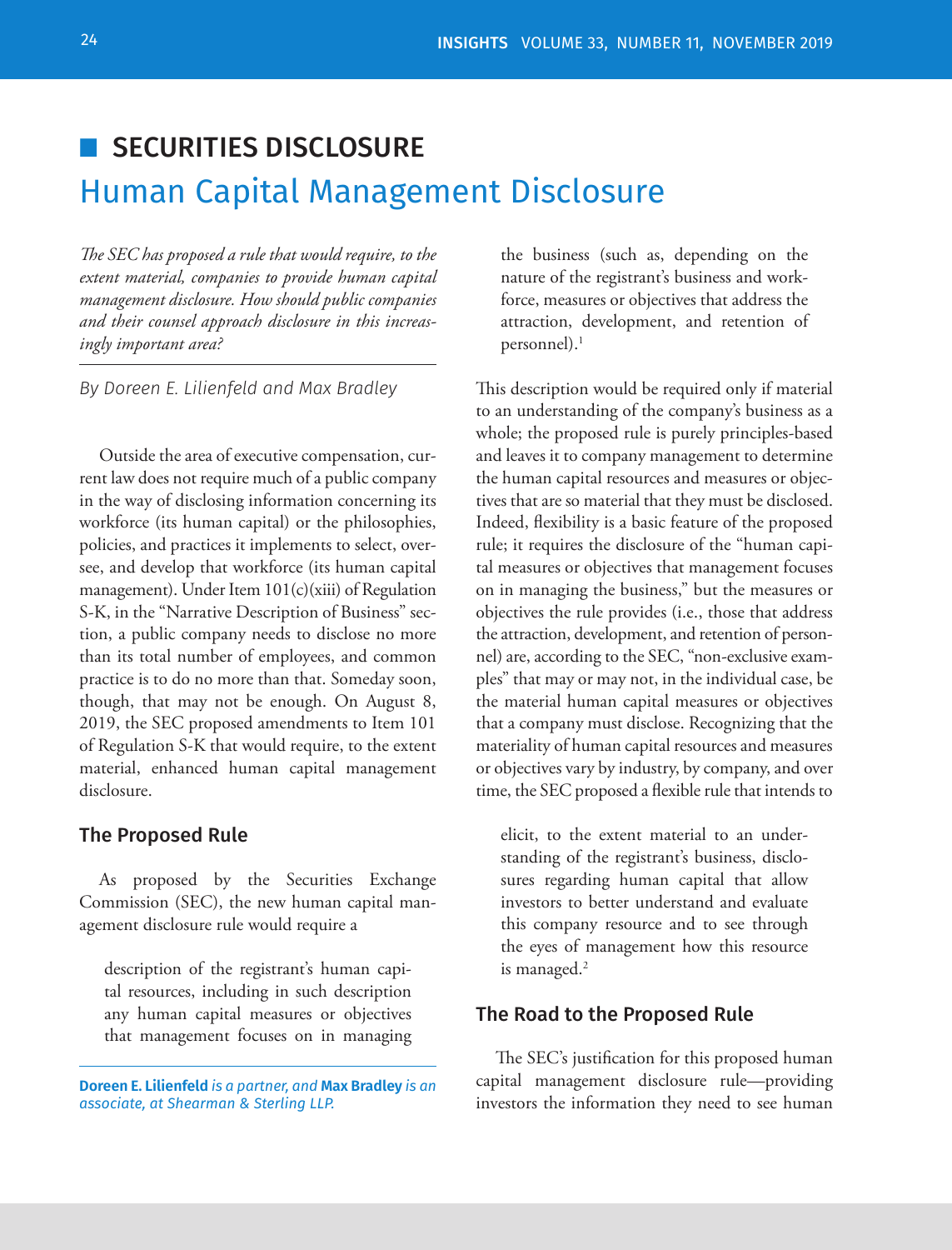## ■ SECURITIES DISCLOSURE

# Human Capital Management Disclosure

*The SEC has proposed a rule that would require, to the extent material, companies to provide human capital management disclosure. How should public companies and their counsel approach disclosure in this increasingly important area?*

*By Doreen E. Lilienfeld and Max Bradley*

Outside the area of executive compensation, current law does not require much of a public company in the way of disclosing information concerning its workforce (its human capital) or the philosophies, policies, and practices it implements to select, oversee, and develop that workforce (its human capital management). Under Item 101(c)(xiii) of Regulation S-K, in the "Narrative Description of Business" section, a public company needs to disclose no more than its total number of employees, and common practice is to do no more than that. Someday soon, though, that may not be enough. On August 8, 2019, the SEC proposed amendments to Item 101 of Regulation S-K that would require, to the extent material, enhanced human capital management disclosure.

#### The Proposed Rule

As proposed by the Securities Exchange Commission (SEC), the new human capital management disclosure rule would require a

description of the registrant's human capital resources, including in such description any human capital measures or objectives that management focuses on in managing

**Doreen E. Lilienfeld** *is a partner, and* **Max Bradley** *is an associate, at Shearman & Sterling LLP.*

the business (such as, depending on the nature of the registrant's business and workforce, measures or objectives that address the attraction, development, and retention of personnel). $<sup>1</sup>$ </sup>

This description would be required only if material to an understanding of the company's business as a whole; the proposed rule is purely principles-based and leaves it to company management to determine the human capital resources and measures or objectives that are so material that they must be disclosed. Indeed, flexibility is a basic feature of the proposed rule; it requires the disclosure of the "human capital measures or objectives that management focuses on in managing the business," but the measures or objectives the rule provides (i.e., those that address the attraction, development, and retention of personnel) are, according to the SEC, "non-exclusive examples" that may or may not, in the individual case, be the material human capital measures or objectives that a company must disclose. Recognizing that the materiality of human capital resources and measures or objectives vary by industry, by company, and over time, the SEC proposed a flexible rule that intends to

elicit, to the extent material to an understanding of the registrant's business, disclosures regarding human capital that allow investors to better understand and evaluate this company resource and to see through the eyes of management how this resource is managed. $2$ 

#### The Road to the Proposed Rule

The SEC's justification for this proposed human capital management disclosure rule—providing investors the information they need to see human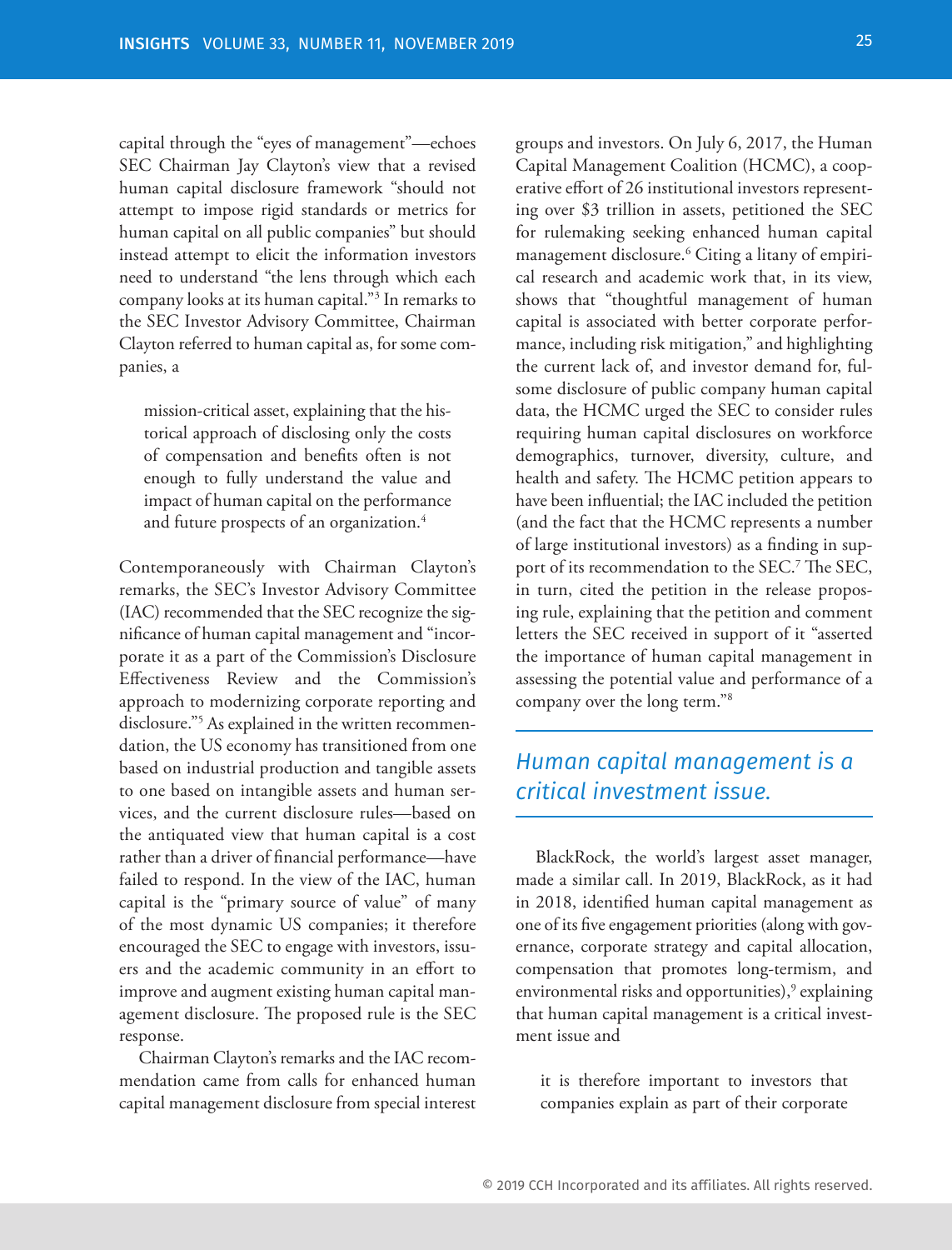capital through the "eyes of management"—echoes SEC Chairman Jay Clayton's view that a revised human capital disclosure framework "should not attempt to impose rigid standards or metrics for human capital on all public companies" but should instead attempt to elicit the information investors need to understand "the lens through which each company looks at its human capital."3 In remarks to the SEC Investor Advisory Committee, Chairman Clayton referred to human capital as, for some companies, a

mission-critical asset, explaining that the historical approach of disclosing only the costs of compensation and benefits often is not enough to fully understand the value and impact of human capital on the performance and future prospects of an organization.<sup>4</sup>

Contemporaneously with Chairman Clayton's remarks, the SEC's Investor Advisory Committee (IAC) recommended that the SEC recognize the significance of human capital management and "incorporate it as a part of the Commission's Disclosure Effectiveness Review and the Commission's approach to modernizing corporate reporting and disclosure."5 As explained in the written recommendation, the US economy has transitioned from one based on industrial production and tangible assets to one based on intangible assets and human services, and the current disclosure rules—based on the antiquated view that human capital is a cost rather than a driver of financial performance—have failed to respond. In the view of the IAC, human capital is the "primary source of value" of many of the most dynamic US companies; it therefore encouraged the SEC to engage with investors, issuers and the academic community in an effort to improve and augment existing human capital management disclosure. The proposed rule is the SEC response.

Chairman Clayton's remarks and the IAC recommendation came from calls for enhanced human capital management disclosure from special interest groups and investors. On July 6, 2017, the Human Capital Management Coalition (HCMC), a cooperative effort of 26 institutional investors representing over \$3 trillion in assets, petitioned the SEC for rulemaking seeking enhanced human capital management disclosure.6 Citing a litany of empirical research and academic work that, in its view, shows that "thoughtful management of human capital is associated with better corporate performance, including risk mitigation," and highlighting the current lack of, and investor demand for, fulsome disclosure of public company human capital data, the HCMC urged the SEC to consider rules requiring human capital disclosures on workforce demographics, turnover, diversity, culture, and health and safety. The HCMC petition appears to have been influential; the IAC included the petition (and the fact that the HCMC represents a number of large institutional investors) as a finding in support of its recommendation to the SEC.7 The SEC, in turn, cited the petition in the release proposing rule, explaining that the petition and comment letters the SEC received in support of it "asserted the importance of human capital management in assessing the potential value and performance of a company over the long term."8

### *Human capital management is a critical investment issue.*

BlackRock, the world's largest asset manager, made a similar call. In 2019, BlackRock, as it had in 2018, identified human capital management as one of its five engagement priorities (along with governance, corporate strategy and capital allocation, compensation that promotes long-termism, and environmental risks and opportunities),<sup>9</sup> explaining that human capital management is a critical investment issue and

it is therefore important to investors that companies explain as part of their corporate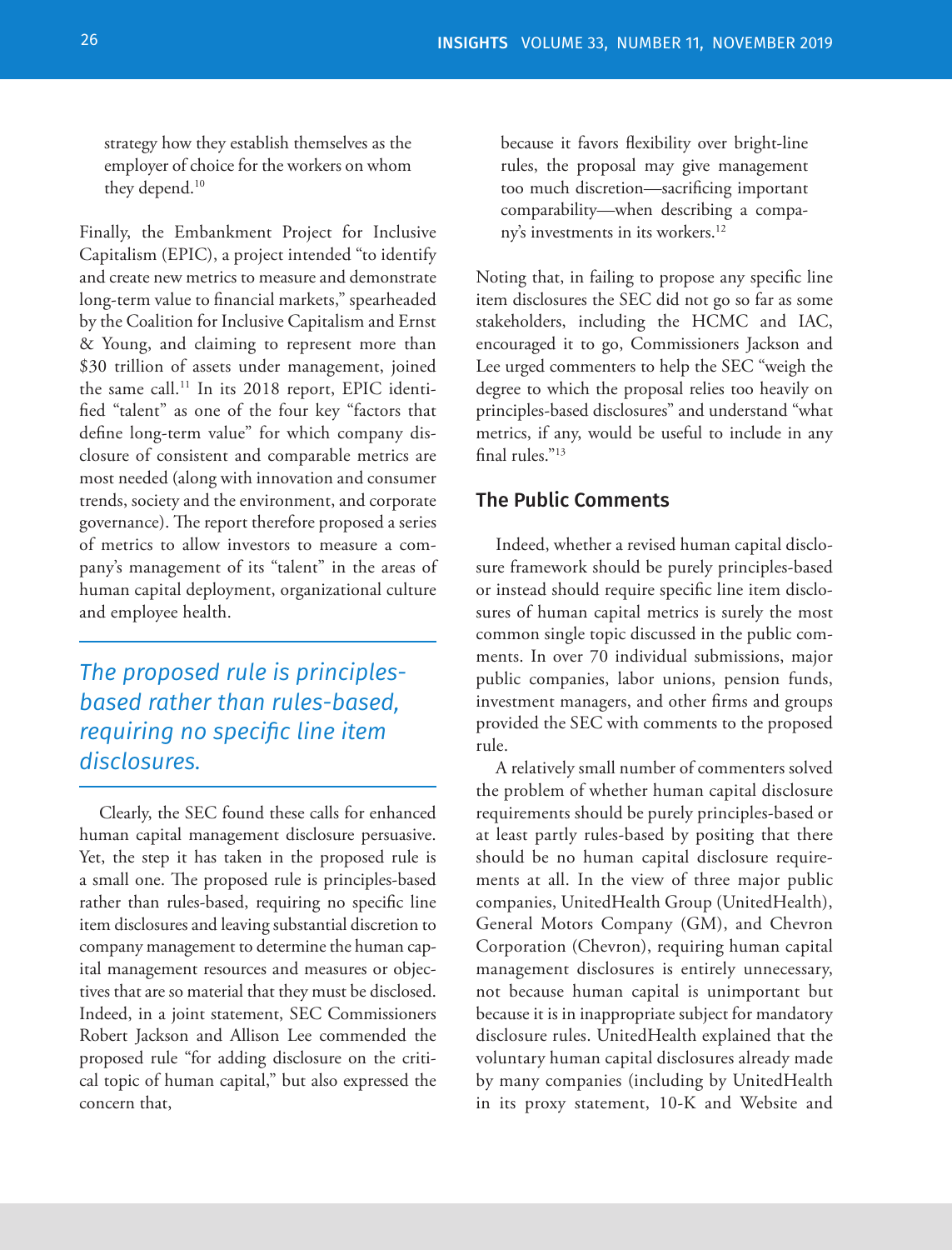strategy how they establish themselves as the employer of choice for the workers on whom they depend.<sup>10</sup>

Finally, the Embankment Project for Inclusive Capitalism (EPIC), a project intended "to identify and create new metrics to measure and demonstrate long-term value to financial markets," spearheaded by the Coalition for Inclusive Capitalism and Ernst & Young, and claiming to represent more than \$30 trillion of assets under management, joined the same call.<sup>11</sup> In its 2018 report, EPIC identified "talent" as one of the four key "factors that define long-term value" for which company disclosure of consistent and comparable metrics are most needed (along with innovation and consumer trends, society and the environment, and corporate governance). The report therefore proposed a series of metrics to allow investors to measure a company's management of its "talent" in the areas of human capital deployment, organizational culture and employee health.

*The proposed rule is principlesbased rather than rules-based, requiring no specific line item disclosures.*

Clearly, the SEC found these calls for enhanced human capital management disclosure persuasive. Yet, the step it has taken in the proposed rule is a small one. The proposed rule is principles-based rather than rules-based, requiring no specific line item disclosures and leaving substantial discretion to company management to determine the human capital management resources and measures or objectives that are so material that they must be disclosed. Indeed, in a joint statement, SEC Commissioners Robert Jackson and Allison Lee commended the proposed rule "for adding disclosure on the critical topic of human capital," but also expressed the concern that,

because it favors flexibility over bright-line rules, the proposal may give management too much discretion—sacrificing important comparability—when describing a company's investments in its workers.<sup>12</sup>

Noting that, in failing to propose any specific line item disclosures the SEC did not go so far as some stakeholders, including the HCMC and IAC, encouraged it to go, Commissioners Jackson and Lee urged commenters to help the SEC "weigh the degree to which the proposal relies too heavily on principles-based disclosures" and understand "what metrics, if any, would be useful to include in any final rules."13

#### The Public Comments

Indeed, whether a revised human capital disclosure framework should be purely principles-based or instead should require specific line item disclosures of human capital metrics is surely the most common single topic discussed in the public comments. In over 70 individual submissions, major public companies, labor unions, pension funds, investment managers, and other firms and groups provided the SEC with comments to the proposed rule.

A relatively small number of commenters solved the problem of whether human capital disclosure requirements should be purely principles-based or at least partly rules-based by positing that there should be no human capital disclosure requirements at all. In the view of three major public companies, UnitedHealth Group (UnitedHealth), General Motors Company (GM), and Chevron Corporation (Chevron), requiring human capital management disclosures is entirely unnecessary, not because human capital is unimportant but because it is in inappropriate subject for mandatory disclosure rules. UnitedHealth explained that the voluntary human capital disclosures already made by many companies (including by UnitedHealth in its proxy statement, 10-K and Website and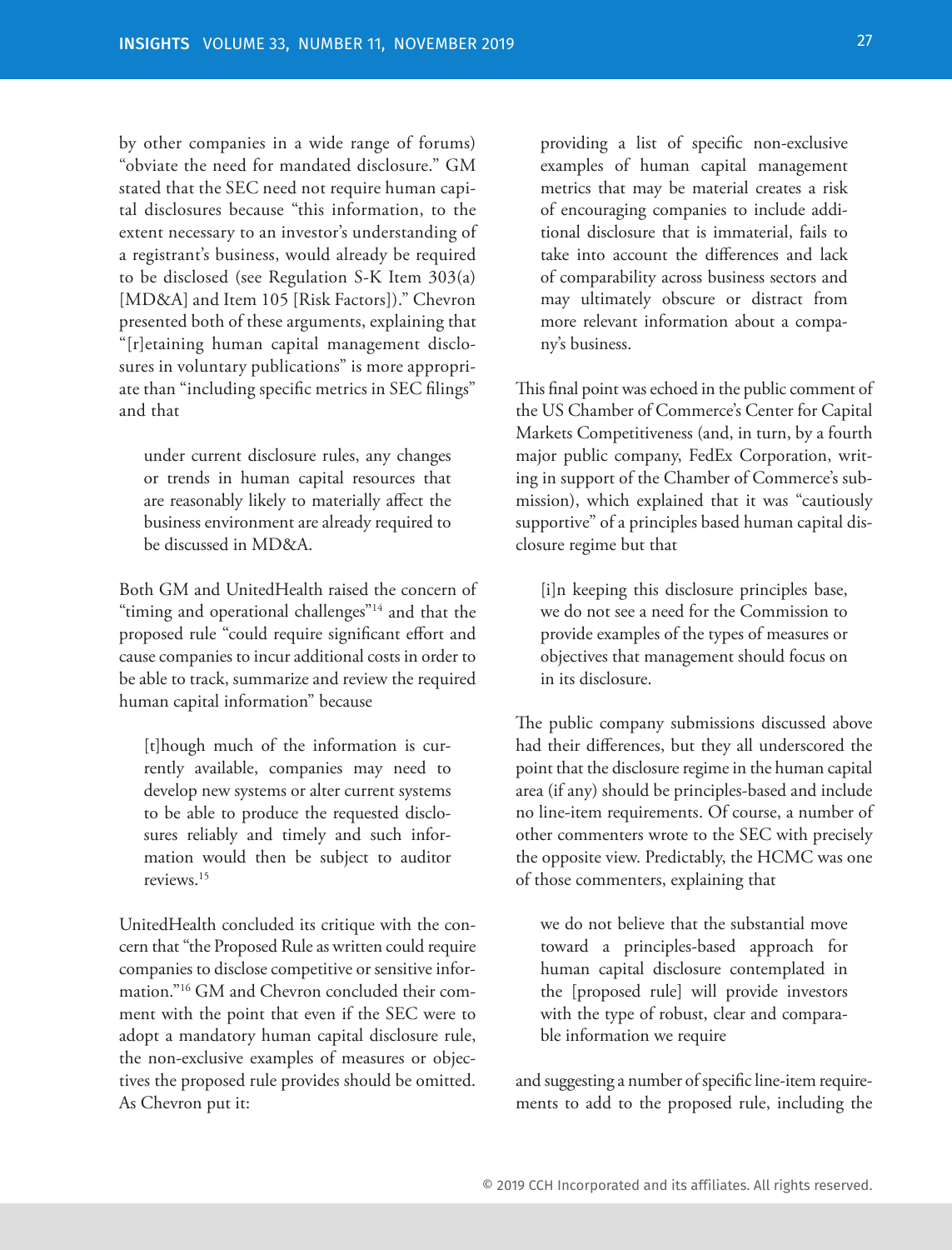by other companies in a wide range of forums) "obviate the need for mandated disclosure." GM stated that the SEC need not require human capital disclosures because "this information, to the extent necessary to an investor's understanding of a registrant's business, would already be required to be disclosed (see Regulation S-K Item 303(a) [MD&A] and Item 105 [Risk Factors])." Chevron presented both of these arguments, explaining that "[r]etaining human capital management disclosures in voluntary publications" is more appropriate than "including specific metrics in SEC filings" and that

under current disclosure rules, any changes or trends in human capital resources that are reasonably likely to materially affect the business environment are already required to be discussed in MD&A.

Both GM and UnitedHealth raised the concern of "timing and operational challenges"14 and that the proposed rule "could require significant effort and cause companies to incur additional costs in order to be able to track, summarize and review the required human capital information" because

[t]hough much of the information is currently available, companies may need to develop new systems or alter current systems to be able to produce the requested disclosures reliably and timely and such information would then be subject to auditor reviews.15

UnitedHealth concluded its critique with the concern that "the Proposed Rule as written could require companies to disclose competitive or sensitive information."16 GM and Chevron concluded their comment with the point that even if the SEC were to adopt a mandatory human capital disclosure rule, the non-exclusive examples of measures or objectives the proposed rule provides should be omitted. As Chevron put it:

providing a list of specific non-exclusive examples of human capital management metrics that may be material creates a risk of encouraging companies to include additional disclosure that is immaterial, fails to take into account the differences and lack of comparability across business sectors and may ultimately obscure or distract from more relevant information about a company's business.

This final point was echoed in the public comment of the US Chamber of Commerce's Center for Capital Markets Competitiveness (and, in turn, by a fourth major public company, FedEx Corporation, writing in support of the Chamber of Commerce's submission), which explained that it was "cautiously supportive" of a principles based human capital disclosure regime but that

[i]n keeping this disclosure principles base, we do not see a need for the Commission to provide examples of the types of measures or objectives that management should focus on in its disclosure.

The public company submissions discussed above had their differences, but they all underscored the point that the disclosure regime in the human capital area (if any) should be principles-based and include no line-item requirements. Of course, a number of other commenters wrote to the SEC with precisely the opposite view. Predictably, the HCMC was one of those commenters, explaining that

we do not believe that the substantial move toward a principles-based approach for human capital disclosure contemplated in the [proposed rule] will provide investors with the type of robust, clear and comparable information we require

and suggesting a number of specific line-item requirements to add to the proposed rule, including the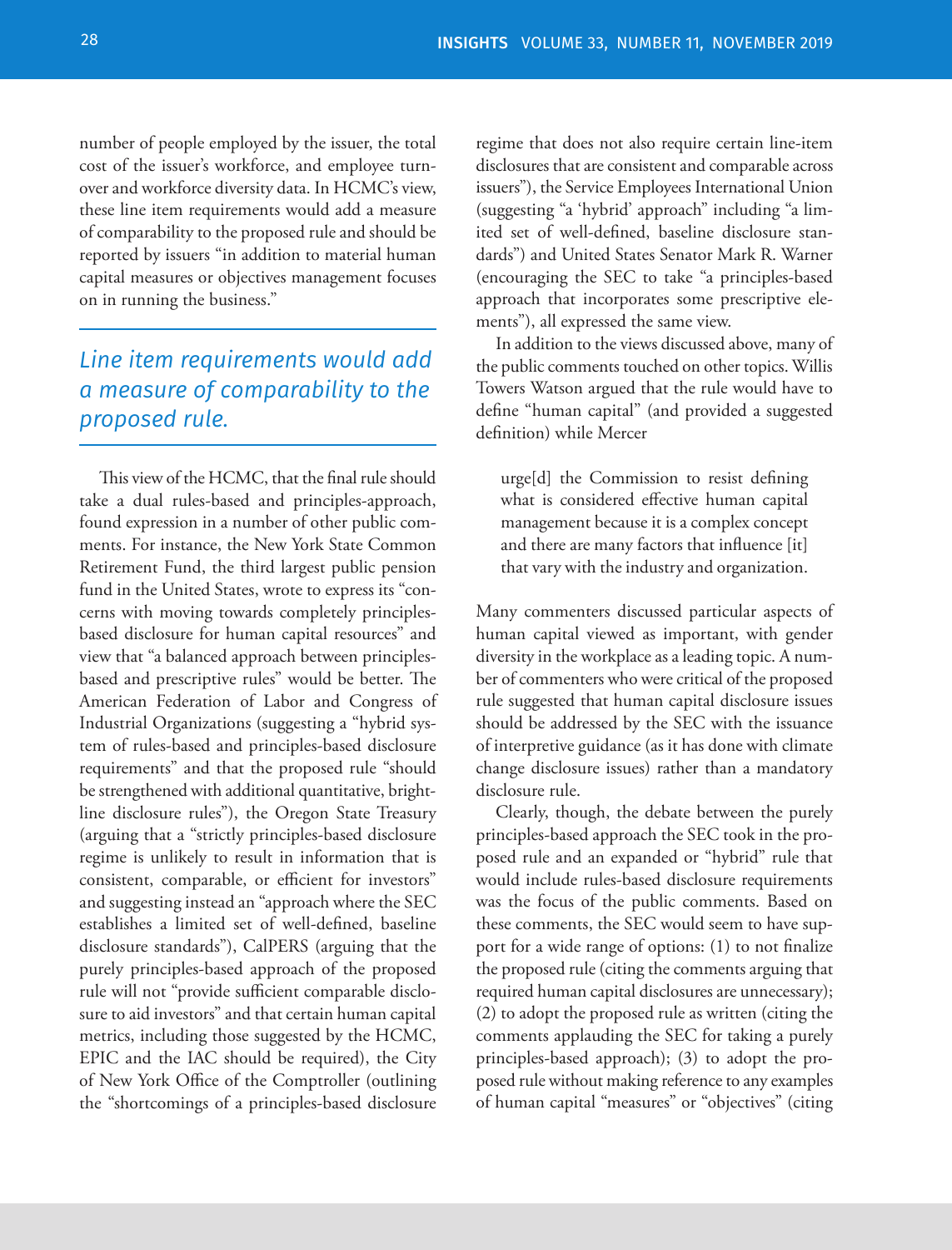number of people employed by the issuer, the total cost of the issuer's workforce, and employee turnover and workforce diversity data. In HCMC's view, these line item requirements would add a measure of comparability to the proposed rule and should be reported by issuers "in addition to material human capital measures or objectives management focuses on in running the business."

### *Line item requirements would add a measure of comparability to the proposed rule.*

This view of the HCMC, that the final rule should take a dual rules-based and principles-approach, found expression in a number of other public comments. For instance, the New York State Common Retirement Fund, the third largest public pension fund in the United States, wrote to express its "concerns with moving towards completely principlesbased disclosure for human capital resources" and view that "a balanced approach between principlesbased and prescriptive rules" would be better. The American Federation of Labor and Congress of Industrial Organizations (suggesting a "hybrid system of rules-based and principles-based disclosure requirements" and that the proposed rule "should be strengthened with additional quantitative, brightline disclosure rules"), the Oregon State Treasury (arguing that a "strictly principles-based disclosure regime is unlikely to result in information that is consistent, comparable, or efficient for investors" and suggesting instead an "approach where the SEC establishes a limited set of well-defined, baseline disclosure standards"), CalPERS (arguing that the purely principles-based approach of the proposed rule will not "provide sufficient comparable disclosure to aid investors" and that certain human capital metrics, including those suggested by the HCMC, EPIC and the IAC should be required), the City of New York Office of the Comptroller (outlining the "shortcomings of a principles-based disclosure

regime that does not also require certain line-item disclosures that are consistent and comparable across issuers"), the Service Employees International Union (suggesting "a 'hybrid' approach" including "a limited set of well-defined, baseline disclosure standards") and United States Senator Mark R. Warner (encouraging the SEC to take "a principles-based approach that incorporates some prescriptive elements"), all expressed the same view.

In addition to the views discussed above, many of the public comments touched on other topics. Willis Towers Watson argued that the rule would have to define "human capital" (and provided a suggested definition) while Mercer

urge[d] the Commission to resist defining what is considered effective human capital management because it is a complex concept and there are many factors that influence [it] that vary with the industry and organization.

Many commenters discussed particular aspects of human capital viewed as important, with gender diversity in the workplace as a leading topic. A number of commenters who were critical of the proposed rule suggested that human capital disclosure issues should be addressed by the SEC with the issuance of interpretive guidance (as it has done with climate change disclosure issues) rather than a mandatory disclosure rule.

Clearly, though, the debate between the purely principles-based approach the SEC took in the proposed rule and an expanded or "hybrid" rule that would include rules-based disclosure requirements was the focus of the public comments. Based on these comments, the SEC would seem to have support for a wide range of options: (1) to not finalize the proposed rule (citing the comments arguing that required human capital disclosures are unnecessary); (2) to adopt the proposed rule as written (citing the comments applauding the SEC for taking a purely principles-based approach); (3) to adopt the proposed rule without making reference to any examples of human capital "measures" or "objectives" (citing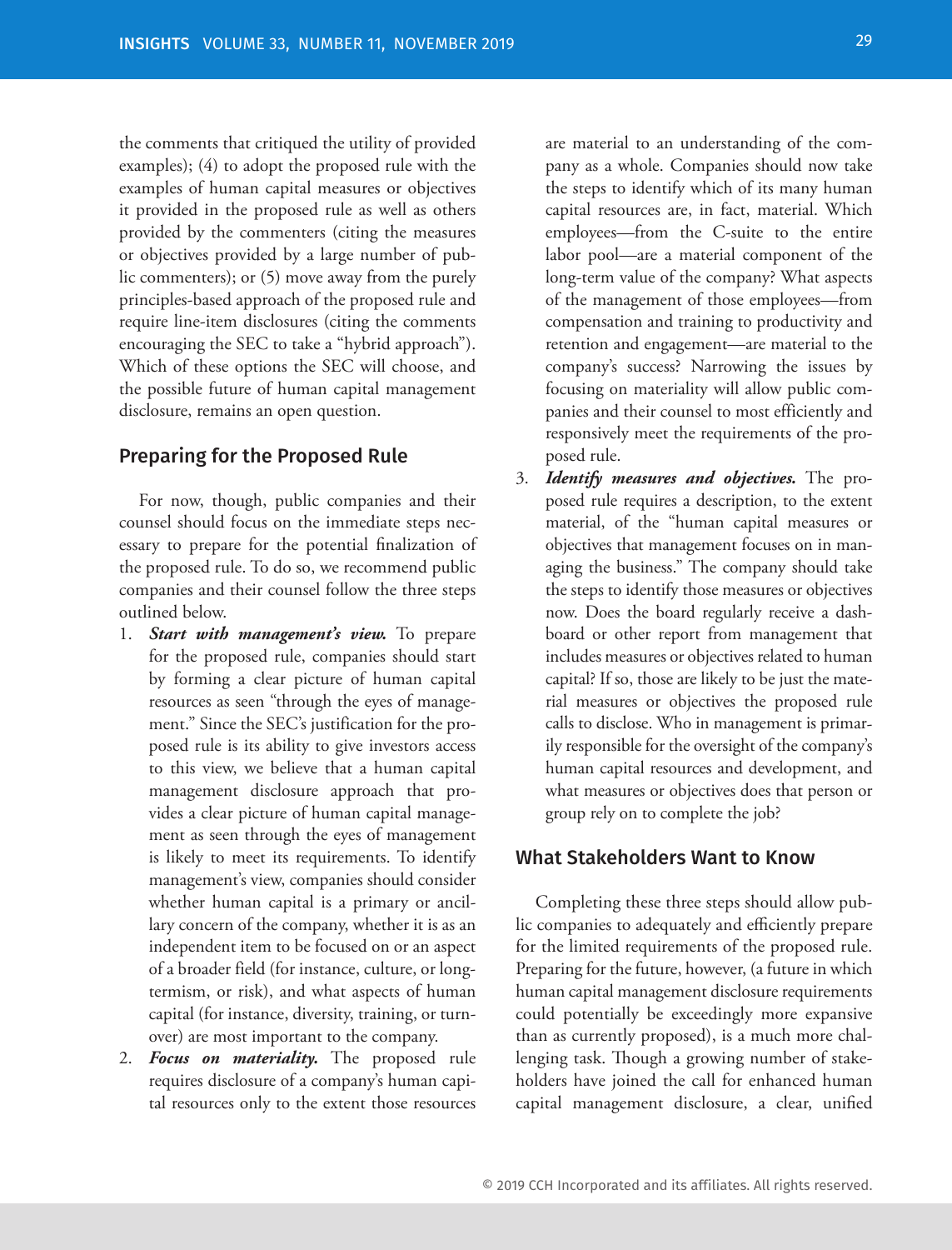the comments that critiqued the utility of provided examples); (4) to adopt the proposed rule with the examples of human capital measures or objectives it provided in the proposed rule as well as others provided by the commenters (citing the measures or objectives provided by a large number of public commenters); or (5) move away from the purely principles-based approach of the proposed rule and require line-item disclosures (citing the comments encouraging the SEC to take a "hybrid approach"). Which of these options the SEC will choose, and the possible future of human capital management disclosure, remains an open question.

#### Preparing for the Proposed Rule

For now, though, public companies and their counsel should focus on the immediate steps necessary to prepare for the potential finalization of the proposed rule. To do so, we recommend public companies and their counsel follow the three steps outlined below.

- 1. *Start with management's view.* To prepare for the proposed rule, companies should start by forming a clear picture of human capital resources as seen "through the eyes of management." Since the SEC's justification for the proposed rule is its ability to give investors access to this view, we believe that a human capital management disclosure approach that provides a clear picture of human capital management as seen through the eyes of management is likely to meet its requirements. To identify management's view, companies should consider whether human capital is a primary or ancillary concern of the company, whether it is as an independent item to be focused on or an aspect of a broader field (for instance, culture, or longtermism, or risk), and what aspects of human capital (for instance, diversity, training, or turnover) are most important to the company.
- 2. *Focus on materiality.* The proposed rule requires disclosure of a company's human capital resources only to the extent those resources

are material to an understanding of the company as a whole. Companies should now take the steps to identify which of its many human capital resources are, in fact, material. Which employees—from the C-suite to the entire labor pool—are a material component of the long-term value of the company? What aspects of the management of those employees—from compensation and training to productivity and retention and engagement—are material to the company's success? Narrowing the issues by focusing on materiality will allow public companies and their counsel to most efficiently and responsively meet the requirements of the proposed rule.

3. *Identify measures and objectives.* The proposed rule requires a description, to the extent material, of the "human capital measures or objectives that management focuses on in managing the business." The company should take the steps to identify those measures or objectives now. Does the board regularly receive a dashboard or other report from management that includes measures or objectives related to human capital? If so, those are likely to be just the material measures or objectives the proposed rule calls to disclose. Who in management is primarily responsible for the oversight of the company's human capital resources and development, and what measures or objectives does that person or group rely on to complete the job?

#### What Stakeholders Want to Know

Completing these three steps should allow public companies to adequately and efficiently prepare for the limited requirements of the proposed rule. Preparing for the future, however, (a future in which human capital management disclosure requirements could potentially be exceedingly more expansive than as currently proposed), is a much more challenging task. Though a growing number of stakeholders have joined the call for enhanced human capital management disclosure, a clear, unified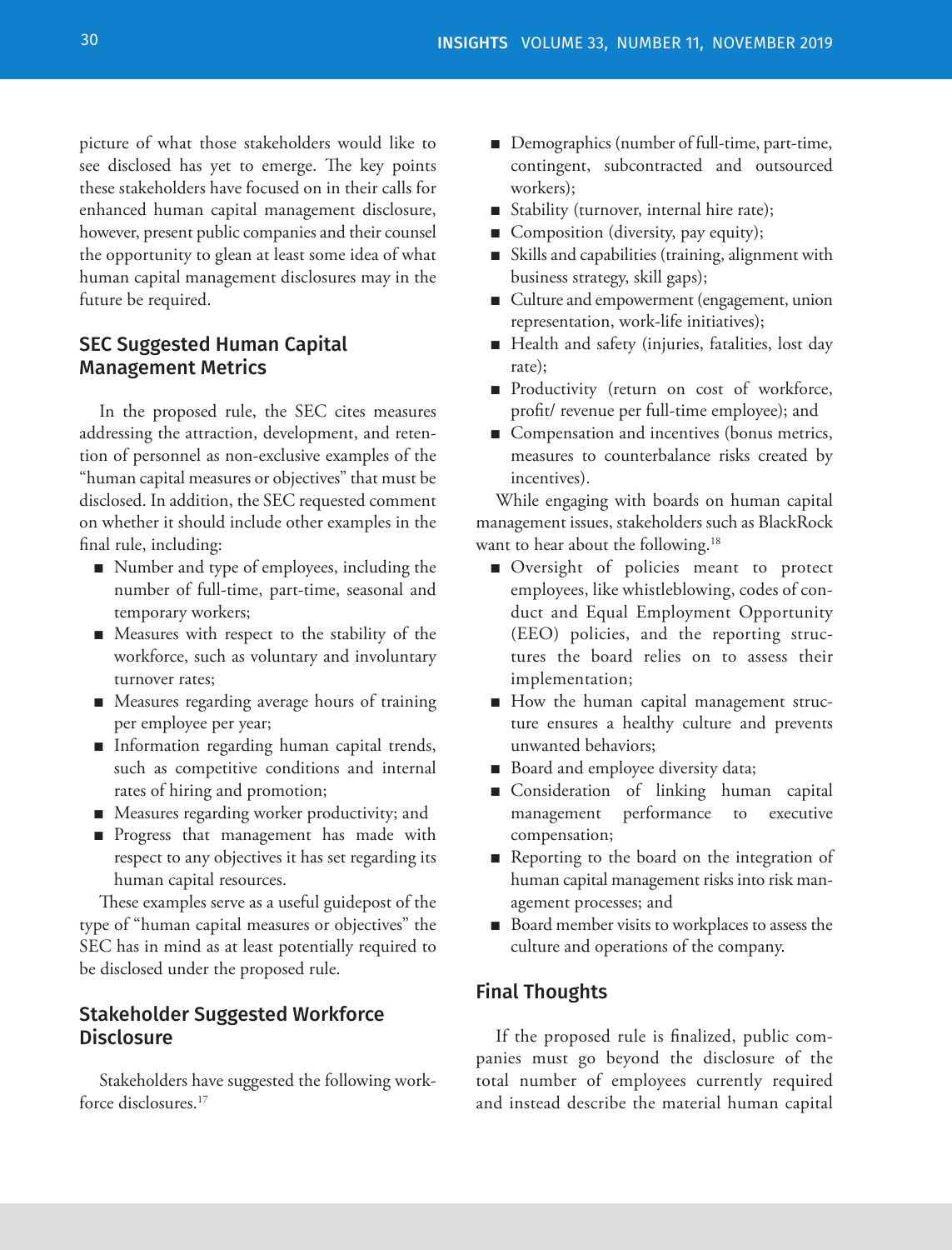picture of what those stakeholders would like to see disclosed has yet to emerge. The key points these stakeholders have focused on in their calls for enhanced human capital management disclosure, however, present public companies and their counsel the opportunity to glean at least some idea of what human capital management disclosures may in the future be required.

### SEC Suggested Human Capital Management Metrics

In the proposed rule, the SEC cites measures addressing the attraction, development, and retention of personnel as non-exclusive examples of the "human capital measures or objectives" that must be disclosed. In addition, the SEC requested comment on whether it should include other examples in the final rule, including:

- Number and type of employees, including the number of full-time, part-time, seasonal and temporary workers;
- Measures with respect to the stability of the workforce, such as voluntary and involuntary turnover rates;
- Measures regarding average hours of training per employee per year;
- Information regarding human capital trends, such as competitive conditions and internal rates of hiring and promotion;
- Measures regarding worker productivity; and
- Progress that management has made with respect to any objectives it has set regarding its human capital resources.

These examples serve as a useful guidepost of the type of "human capital measures or objectives" the SEC has in mind as at least potentially required to be disclosed under the proposed rule.

#### Stakeholder Suggested Workforce **Disclosure**

Stakeholders have suggested the following workforce disclosures.17

- Demographics (number of full-time, part-time, contingent, subcontracted and outsourced workers);
- Stability (turnover, internal hire rate);
- Composition (diversity, pay equity);
- Skills and capabilities (training, alignment with business strategy, skill gaps);
- Culture and empowerment (engagement, union representation, work-life initiatives);
- Health and safety (injuries, fatalities, lost day rate);
- Productivity (return on cost of workforce, profit/ revenue per full-time employee); and
- Compensation and incentives (bonus metrics, measures to counterbalance risks created by incentives).

While engaging with boards on human capital management issues, stakeholders such as BlackRock want to hear about the following.<sup>18</sup>

- Oversight of policies meant to protect employees, like whistleblowing, codes of conduct and Equal Employment Opportunity (EEO) policies, and the reporting structures the board relies on to assess their implementation;
- How the human capital management structure ensures a healthy culture and prevents unwanted behaviors;
- Board and employee diversity data;
- Consideration of linking human capital management performance to executive compensation;
- Reporting to the board on the integration of human capital management risks into risk management processes; and
- Board member visits to workplaces to assess the culture and operations of the company.

#### Final Thoughts

If the proposed rule is finalized, public companies must go beyond the disclosure of the total number of employees currently required and instead describe the material human capital